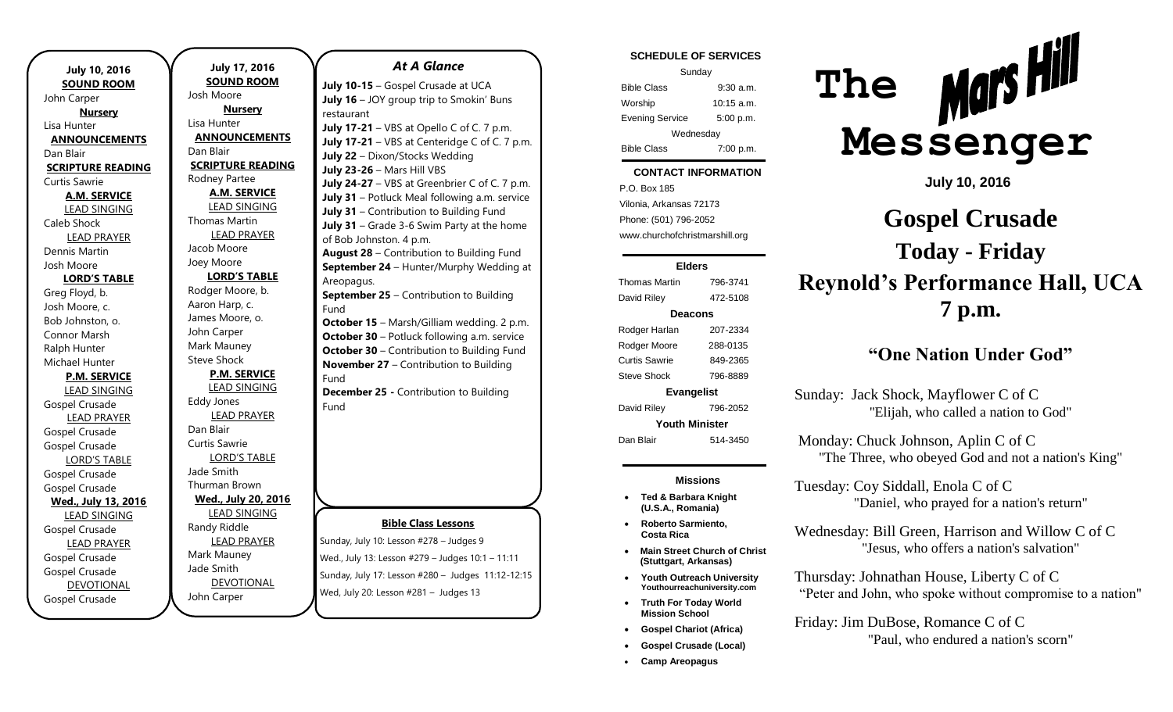| <b>July 10, 2016</b>     |  |  |
|--------------------------|--|--|
| <b>SOUND ROOM</b>        |  |  |
| John Carper              |  |  |
| <b>Nursery</b>           |  |  |
| Lisa Hunter              |  |  |
| <b>ANNOUNCEMENTS</b>     |  |  |
| Dan Blair                |  |  |
| <b>SCRIPTURE READING</b> |  |  |
| Curtis Sawrie            |  |  |
| A.M. SERVICE             |  |  |
| <b>LEAD SINGING</b>      |  |  |
| Caleb Shock              |  |  |
| <b>LEAD PRAYER</b>       |  |  |
| Dennis Martin            |  |  |
| Josh Moore               |  |  |
| <b>LORD'S TABLE</b>      |  |  |
| Greg Floyd, b.           |  |  |
| Josh Moore, c.           |  |  |
| Bob Johnston, o.         |  |  |
| Connor Marsh             |  |  |
| Ralph Hunter             |  |  |
| Michael Hunter           |  |  |
| <b>P.M. SERVICE</b>      |  |  |
| <b>LEAD SINGING</b>      |  |  |
| Gospel Crusade           |  |  |
| <b>LEAD PRAYER</b>       |  |  |
| Gospel Crusade           |  |  |
| Gospel Crusade           |  |  |
| <b>LORD'S TABLE</b>      |  |  |
| Gospel Crusade           |  |  |
| <b>Gospel Crusade</b>    |  |  |
| Wed., July 13, 2016      |  |  |
| <b>LEAD SINGING</b>      |  |  |
| Gospel Crusade           |  |  |
| <b>LEAD PRAYER</b>       |  |  |
| Gospel Crusade           |  |  |
| Gospel Crusade           |  |  |
| <b>DEVOTIONAL</b>        |  |  |
| Gospel Crusade           |  |  |

**July 17, 2016 SOUND ROOM** Josh Moore **Nursery** Lisa Hunter **ANNOUNCEMENTS** Dan Blair **SCRIPTURE READING** Rodney Partee **A.M. SERVICE** LEAD SINGING Thomas Martin LEAD PRAYER Jacob Moore Joey Moore **LORD'S TABLE** Rodger Moore, b. Aaron Harp, c. James Moore, o. John Carper Mark Mauney Steve Shock **P.M. SERVICE** LEAD SINGING Eddy Jones LEAD PRAYER Dan Blair Curtis Sawrie LORD'S TABLE Jade Smith Thurman Brown **Wed., July 20, 2016** LEAD SINGING Randy Riddle LEAD PRAYER Mark Mauney Jade Smith DEVOTIONAL

John Carper

### **Bible Class Lessons** Sunday, July 10: Lesson #278 – Judges 9 Wed., July 13: Lesson #279 – Judges 10:1 – 11:11 **July 10-15** – Gospel Crusade at UCA **July 16** – JOY group trip to Smokin' Buns restaurant **July 17-21** – VBS at Opello C of C. 7 p.m. **July 17-21** – VBS at Centeridge C of C. 7 p.m. **July 22** – Dixon/Stocks Wedding **July 23-26** – Mars Hill VBS **July 24-27** – VBS at Greenbrier C of C. 7 p.m. **July 31** – Potluck Meal following a.m. service **July 31** – Contribution to Building Fund **July 31** – Grade 3-6 Swim Party at the home of Bob Johnston. 4 p.m. **August 28** – Contribution to Building Fund **September 24** – Hunter/Murphy Wedding at Areopagus. **September 25** – Contribution to Building Fund **October 15** – Marsh/Gilliam wedding. 2 p.m. **October 30** – Potluck following a.m. service **October 30** – Contribution to Building Fund **November 27** – Contribution to Building Fund **December 25 -** Contribution to Building Fund

Sunday, July 17: Lesson #280 – Judges 11:12-12:15

*At A Glance* 

Wed, July 20: Lesson #281 – Judges 13

#### **SCHEDULE OF SERVICES**

| Sunday                 |              |  |
|------------------------|--------------|--|
| <b>Bible Class</b>     | $9:30$ a.m.  |  |
| Worship                | $10:15$ a.m. |  |
| <b>Evening Service</b> | 5:00 p.m.    |  |
| Wednesday              |              |  |
| <b>Bible Class</b>     | 7:00 p.m.    |  |

#### tuesday. **CONTACT INFORMATION**

. .o. Box 100<br>Vilonia, Arkansas 72173 P.O. Box 185 Phone: (501) 796-2052 www.churchofchristmarshill.org

#### **Elders**

Thomas Martin 796-3741 David Riley 472-5108 **Deacons** Rodger Harlan 207-2334 Rodger Moore 288-0135 Curtis Sawrie 849-2365 Steve Shock 796-8889 **Evangelist** David Riley 796-2052 **Youth Minister**

## Dan Blair 514-3450

#### **Missions**

- **Ted & Barbara Knight (U.S.A., Romania)**
- **Main Street Church of Christ (Stuttgart, Arkansas)**
- **Youth Outreach University Youthourreachuniversity.com**
- **Truth For Today World Mission School**
- **Gospel Chariot (Africa)**
- **Gospel Crusade (Local)**
- **Camp Areopagus**



**July 10, 2016**

# **Gospel Crusade Today - Friday Reynold's Performance Hall, UCA 7 p.m.**

## **"One Nation Under God"**

Sunday: Jack Shock, Mayflower C of C "Elijah, who called a nation to God"

Tuesday: Coy Siddall, Enola C of C

Monday: Chuck Johnson, Aplin C of C "The Three, who obeyed God and not a nation's King"

- 
- **Roberto Sarmiento, Costa Rica**
- 
- 
- 
- 

## Wednesday: Bill Green, Harrison and Willow C of C "Jesus, who offers a nation's salvation"

Thursday: Johnathan House, Liberty C of C "Peter and John, who spoke without compromise to a nation"

"Daniel, who prayed for a nation's return"

Friday: Jim DuBose, Romance C of C "Paul, who endured a nation's scorn"